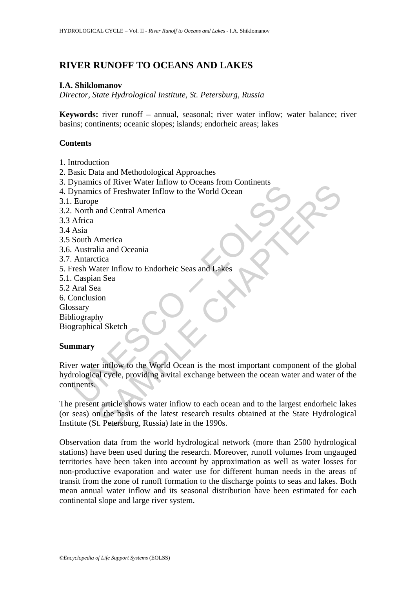# **RIVER RUNOFF TO OCEANS AND LAKES**

#### **I.A. Shiklomanov**

*Director, State Hydrological Institute, St. Petersburg, Russia* 

**Keywords:** river runoff – annual, seasonal; river water inflow; water balance; river basins; continents; oceanic slopes; islands; endorheic areas; lakes

### **Contents**

- 1. Introduction
- 2. Basic Data and Methodological Approaches
- 3. Dynamics of River Water Inflow to Oceans from Continents
- 4. Dynamics of Freshwater Inflow to the World Ocean
- 3.1. Europe
- 3.2. North and Central America
- 3.3 Africa
- 3.4 Asia
- 3.5 South America
- 3.6. Australia and Oceania
- 3.7. Antarctica
- 5. Fresh Water Inflow to Endorheic Seas and Lakes
- 5.1. Caspian Sea
- 5.2 Aral Sea
- 6. Conclusion
- **Glossary**

Bibliography

Biographical Sketch

#### **Summary**

Fundation of Tershwater Inflow to the World Ocean<br>
Mynamics of Freshwater Inflow to the World Ocean<br>
Europe<br>
North and Central America<br>
Africa<br>
South America<br>
Awatal Sea<br>
Caspian Sea<br>
And Sea<br>
And Sea<br>
And Sea<br>
Caspian Sea So is New The World Cocal<br>
Season New York Chapter of the World Cocan<br>
America<br>
America<br>
America<br>
America<br>
America<br>
San Oceania<br>
and Oceania<br>
area Thiflow to the World Ocean is the most important component of the gl<br>
and S River water inflow to the World Ocean is the most important component of the global hydrological cycle, providing a vital exchange between the ocean water and water of the continents.

The present article shows water inflow to each ocean and to the largest endorheic lakes (or seas) on the basis of the latest research results obtained at the State Hydrological Institute (St. Petersburg, Russia) late in the 1990s.

Observation data from the world hydrological network (more than 2500 hydrological stations) have been used during the research. Moreover, runoff volumes from ungauged territories have been taken into account by approximation as well as water losses for non-productive evaporation and water use for different human needs in the areas of transit from the zone of runoff formation to the discharge points to seas and lakes. Both mean annual water inflow and its seasonal distribution have been estimated for each continental slope and large river system.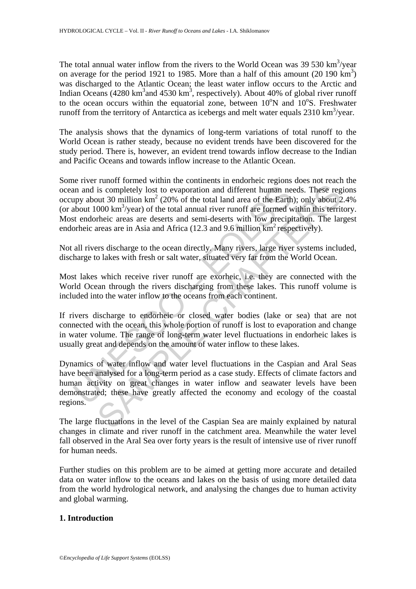The total annual water inflow from the rivers to the World Ocean was  $39\,530\ \text{km}^3/\text{year}$ on average for the period 1921 to 1985. More than a half of this amount  $(20\ 190\ km^3)$ was discharged to the Atlantic Ocean; the least water inflow occurs to the Arctic and Indian Oceans (4280 km<sup>3</sup> and 4530 km<sup>3</sup>, respectively). About 40% of global river runoff to the ocean occurs within the equatorial zone, between  $10^{\circ}$ N and  $10^{\circ}$ S. Freshwater runoff from the territory of Antarctica as icebergs and melt water equals  $2310 \text{ km}^3/\text{year}$ .

The analysis shows that the dynamics of long-term variations of total runoff to the World Ocean is rather steady, because no evident trends have been discovered for the study period. There is, however, an evident trend towards inflow decrease to the Indian and Pacific Oceans and towards inflow increase to the Atlantic Ocean.

an and is completely lost to evaporation and different human neupy about 30 million km<sup>2</sup> (20% of the total land area of the Earth about 1000 km<sup>3</sup>/year) of the total annual river runoff are formed we steed to the dorheic is completely lost to evaporation and different human needs. These reg out 30 million km<sup>2</sup> (20% of the total land area of the Earth); only about 2000 km<sup>3</sup>/year) of the total annul diver numf are formed within this terri Some river runoff formed within the continents in endorheic regions does not reach the ocean and is completely lost to evaporation and different human needs. These regions occupy about 30 million  $km^2$  (20% of the total land area of the Earth); only about 2.4% (or about 1000 km<sup>3</sup>/year) of the total annual river runoff are formed within this territory. Most endorheic areas are deserts and semi-deserts with low precipitation. The largest endorheic areas are in Asia and Africa (12.3 and 9.6 million  $km^2$  respectively).

Not all rivers discharge to the ocean directly. Many rivers, large river systems included, discharge to lakes with fresh or salt water, situated very far from the World Ocean.

Most lakes which receive river runoff are exorheic, i.e. they are connected with the World Ocean through the rivers discharging from these lakes. This runoff volume is included into the water inflow to the oceans from each continent.

If rivers discharge to endorheic or closed water bodies (lake or sea) that are not connected with the ocean, this whole portion of runoff is lost to evaporation and change in water volume. The range of long-term water level fluctuations in endorheic lakes is usually great and depends on the amount of water inflow to these lakes.

Dynamics of water inflow and water level fluctuations in the Caspian and Aral Seas have been analysed for a long-term period as a case study. Effects of climate factors and human activity on great changes in water inflow and seawater levels have been demonstrated; these have greatly affected the economy and ecology of the coastal regions.

The large fluctuations in the level of the Caspian Sea are mainly explained by natural changes in climate and river runoff in the catchment area. Meanwhile the water level fall observed in the Aral Sea over forty years is the result of intensive use of river runoff for human needs.

Further studies on this problem are to be aimed at getting more accurate and detailed data on water inflow to the oceans and lakes on the basis of using more detailed data from the world hydrological network, and analysing the changes due to human activity and global warming.

## **1. Introduction**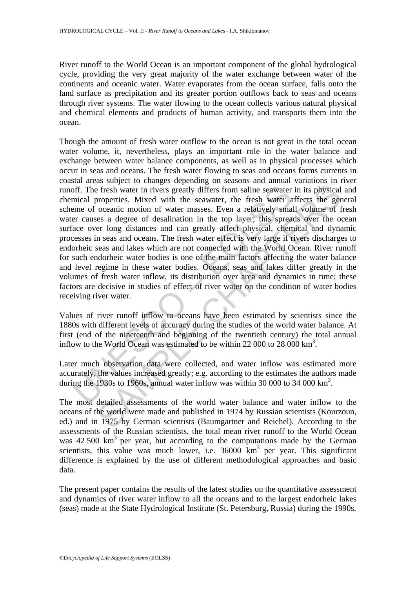River runoff to the World Ocean is an important component of the global hydrological cycle, providing the very great majority of the water exchange between water of the continents and oceanic water. Water evaporates from the ocean surface, falls onto the land surface as precipitation and its greater portion outflows back to seas and oceans through river systems. The water flowing to the ocean collects various natural physical and chemical elements and products of human activity, and transports them into the ocean.

off. The fresh water in rivers greatly differs from saline seawater mical properties. Mixed with the seawater, the fresh water ame of oceanic motion of water masses. Even a relatively small are are over long distances and is fresh water in rivers greatly differs from saline seawater in its physical properties. Mixed with the seawater, the fresh water affects the ger oceanic motion of water masses. Even a relatively small volume of from cas Though the amount of fresh water outflow to the ocean is not great in the total ocean water volume, it, nevertheless, plays an important role in the water balance and exchange between water balance components, as well as in physical processes which occur in seas and oceans. The fresh water flowing to seas and oceans forms currents in coastal areas subject to changes depending on seasons and annual variations in river runoff. The fresh water in rivers greatly differs from saline seawater in its physical and chemical properties. Mixed with the seawater, the fresh water affects the general scheme of oceanic motion of water masses. Even a relatively small volume of fresh water causes a degree of desalination in the top layer; this spreads over the ocean surface over long distances and can greatly affect physical, chemical and dynamic processes in seas and oceans. The fresh water effect is very large if rivers discharges to endorheic seas and lakes which are not connected with the World Ocean. River runoff for such endorheic water bodies is one of the main factors affecting the water balance and level regime in these water bodies. Oceans, seas and lakes differ greatly in the volumes of fresh water inflow, its distribution over area and dynamics in time; these factors are decisive in studies of effect of river water on the condition of water bodies receiving river water.

Values of river runoff inflow to oceans have been estimated by scientists since the 1880s with different levels of accuracy during the studies of the world water balance. At first (end of the nineteenth and beginning of the twentieth century) the total annual inflow to the World Ocean was estimated to be within 22 000 to 28 000 km<sup>3</sup>.

Later much observation data were collected, and water inflow was estimated more accurately, the values increased greatly; e.g. according to the estimates the authors made during the 1930s to 1960s, annual water inflow was within 30 000 to 34 000  $\text{km}^3$ .

The most detailed assessments of the world water balance and water inflow to the oceans of the world were made and published in 1974 by Russian scientists (Kourzoun, ed.) and in 1975 by German scientists (Baumgartner and Reichel). According to the assessments of the Russian scientists, the total mean river runoff to the World Ocean was  $42,500 \text{ km}^3$  per year, but according to the computations made by the German scientists, this value was much lower, i.e.  $36000 \text{ km}^3$  per year. This significant difference is explained by the use of different methodological approaches and basic data.

The present paper contains the results of the latest studies on the quantitative assessment and dynamics of river water inflow to all the oceans and to the largest endorheic lakes (seas) made at the State Hydrological Institute (St. Petersburg, Russia) during the 1990s.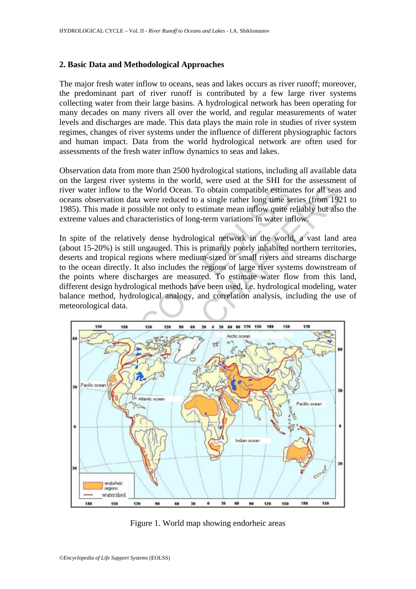### **2. Basic Data and Methodological Approaches**

The major fresh water inflow to oceans, seas and lakes occurs as river runoff; moreover, the predominant part of river runoff is contributed by a few large river systems collecting water from their large basins. A hydrological network has been operating for many decades on many rivers all over the world, and regular measurements of water levels and discharges are made. This data plays the main role in studies of river system regimes, changes of river systems under the influence of different physiographic factors and human impact. Data from the world hydrological network are often used for assessments of the fresh water inflow dynamics to seas and lakes.

Observation data from more than 2500 hydrological stations, including all available data on the largest river systems in the world, were used at the SHI for the assessment of river water inflow to the World Ocean. To obtain compatible estimates for all seas and oceans observation data were reduced to a single rather long time series (from 1921 to 1985). This made it possible not only to estimate mean inflow quite reliably but also the extreme values and characteristics of long-term variations in water inflow.

In spite of the relatively dense hydrological network in the world, a vast land area (about 15-20%) is still ungauged. This is primarily poorly inhabited northern territories, deserts and tropical regions where medium-sized or small rivers and streams discharge to the ocean directly. It also includes the regions of large river systems downstream of the points where discharges are measured. To estimate water flow from this land, different design hydrological methods have been used, i.e. hydrological modeling, water balance method, hydrological analogy, and correlation analysis, including the use of meteorological data.



Figure 1. World map showing endorheic areas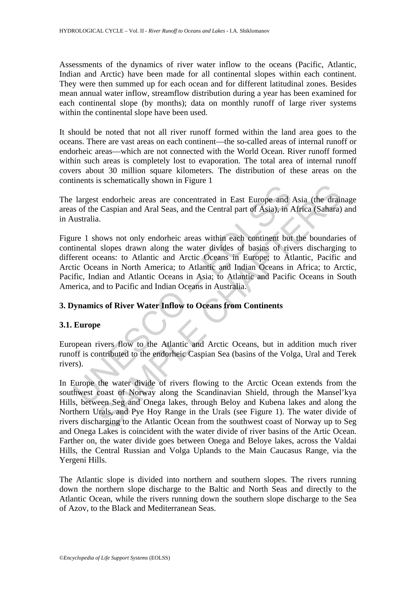Assessments of the dynamics of river water inflow to the oceans (Pacific, Atlantic, Indian and Arctic) have been made for all continental slopes within each continent. They were then summed up for each ocean and for different latitudinal zones. Besides mean annual water inflow, streamflow distribution during a year has been examined for each continental slope (by months); data on monthly runoff of large river systems within the continental slope have been used.

It should be noted that not all river runoff formed within the land area goes to the oceans. There are vast areas on each continent—the so-called areas of internal runoff or endorheic areas—which are not connected with the World Ocean. River runoff formed within such areas is completely lost to evaporation. The total area of internal runoff covers about 30 million square kilometers. The distribution of these areas on the continents is schematically shown in Figure 1

The largest endorheic areas are concentrated in East Europe and Asia (the drainage areas of the Caspian and Aral Seas, and the Central part of Asia), in Africa (Sahara) and in Australia.

largest endorheic areas are concentrated in East Europe and .<br>
so f the Caspian and Aral Seas, and the Central part of Asia), in *A*<br>
ustralia.<br>
ure 1 shows not only endorheic areas within each continent but<br>
tinental slop Example and Aral Sease in East Europe and Asia (the drain<br>
e Caspian and Aral Seas, and the Central part of Asia), in Africa (Sahara)<br>
a.<br>
hows not only endorheic areas within each continent but the boundarie<br>
slopes drawn Figure 1 shows not only endorheic areas within each continent but the boundaries of continental slopes drawn along the water divides of basins of rivers discharging to different oceans: to Atlantic and Arctic Oceans in Europe; to Atlantic, Pacific and Arctic Oceans in North America; to Atlantic and Indian Oceans in Africa; to Arctic, Pacific, Indian and Atlantic Oceans in Asia; to Atlantic and Pacific Oceans in South America, and to Pacific and Indian Oceans in Australia.

# **3. Dynamics of River Water Inflow to Oceans from Continents**

#### **3.1. Europe**

European rivers flow to the Atlantic and Arctic Oceans, but in addition much river runoff is contributed to the endorheic Caspian Sea (basins of the Volga, Ural and Terek rivers).

In Europe the water divide of rivers flowing to the Arctic Ocean extends from the southwest coast of Norway along the Scandinavian Shield, through the Mansel'kya Hills, between Seg and Onega lakes, through Beloy and Kubena lakes and along the Northern Urals, and Pye Hoy Range in the Urals (see Figure 1). The water divide of rivers discharging to the Atlantic Ocean from the southwest coast of Norway up to Seg and Onega Lakes is coincident with the water divide of river basins of the Artic Ocean. Farther on, the water divide goes between Onega and Beloye lakes, across the Valdai Hills, the Central Russian and Volga Uplands to the Main Caucasus Range, via the Yergeni Hills.

The Atlantic slope is divided into northern and southern slopes. The rivers running down the northern slope discharge to the Baltic and North Seas and directly to the Atlantic Ocean, while the rivers running down the southern slope discharge to the Sea of Azov, to the Black and Mediterranean Seas.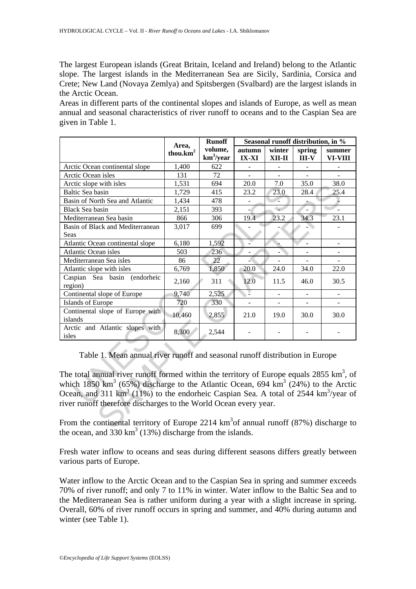The largest European islands (Great Britain, Iceland and Ireland) belong to the Atlantic slope. The largest islands in the Mediterranean Sea are Sicily, Sardinia, Corsica and Crete; New Land (Novaya Zemlya) and Spitsbergen (Svalbard) are the largest islands in the Arctic Ocean.

Areas in different parts of the continental slopes and islands of Europe, as well as mean annual and seasonal characteristics of river runoff to oceans and to the Caspian Sea are given in Table 1.

| Area,<br>thou. $km2$                                                                                                                                                                                                                                                                                                                                                                                                                                                                                                                                                           | <b>Runoff</b>           |                        | Seasonal runoff distribution, in % |                   |                          |
|--------------------------------------------------------------------------------------------------------------------------------------------------------------------------------------------------------------------------------------------------------------------------------------------------------------------------------------------------------------------------------------------------------------------------------------------------------------------------------------------------------------------------------------------------------------------------------|-------------------------|------------------------|------------------------------------|-------------------|--------------------------|
|                                                                                                                                                                                                                                                                                                                                                                                                                                                                                                                                                                                | volume,<br>$km^3$ /year | autumn<br><b>IX-XI</b> | winter<br>XII-II                   | spring<br>$III-V$ | summer<br>VI-VIII        |
| 1,400                                                                                                                                                                                                                                                                                                                                                                                                                                                                                                                                                                          | 622                     |                        |                                    |                   |                          |
| 131                                                                                                                                                                                                                                                                                                                                                                                                                                                                                                                                                                            | 72                      |                        |                                    |                   |                          |
| 1,531                                                                                                                                                                                                                                                                                                                                                                                                                                                                                                                                                                          | 694                     | $20.0\,$               | 7.0                                | 35.0              | 38.0                     |
| 1,729                                                                                                                                                                                                                                                                                                                                                                                                                                                                                                                                                                          | 415                     | 23.2                   | 23.0                               | 28.4              | 25.4                     |
| 1,434                                                                                                                                                                                                                                                                                                                                                                                                                                                                                                                                                                          | 478                     |                        |                                    |                   |                          |
| 2,151                                                                                                                                                                                                                                                                                                                                                                                                                                                                                                                                                                          | 393                     |                        | ٠                                  |                   |                          |
| 866                                                                                                                                                                                                                                                                                                                                                                                                                                                                                                                                                                            | 306                     | 19.4                   | 23.2                               | 34.3              | 23.1                     |
| 3,017                                                                                                                                                                                                                                                                                                                                                                                                                                                                                                                                                                          | 699                     |                        |                                    |                   |                          |
|                                                                                                                                                                                                                                                                                                                                                                                                                                                                                                                                                                                |                         |                        |                                    |                   |                          |
| 6,180                                                                                                                                                                                                                                                                                                                                                                                                                                                                                                                                                                          | 1,592                   |                        |                                    |                   | $\overline{\phantom{0}}$ |
| 503                                                                                                                                                                                                                                                                                                                                                                                                                                                                                                                                                                            | 236                     |                        |                                    |                   | $\frac{1}{2}$            |
| 86                                                                                                                                                                                                                                                                                                                                                                                                                                                                                                                                                                             | 22                      |                        |                                    |                   |                          |
| 6,769                                                                                                                                                                                                                                                                                                                                                                                                                                                                                                                                                                          | 1,850                   | 20.0                   | 24.0                               | 34.0              | 22.0                     |
| 2,160                                                                                                                                                                                                                                                                                                                                                                                                                                                                                                                                                                          | 311                     | 12.0                   | 11.5                               | 46.0              | 30.5                     |
| 9,740                                                                                                                                                                                                                                                                                                                                                                                                                                                                                                                                                                          | 2,525                   |                        |                                    |                   |                          |
| 720                                                                                                                                                                                                                                                                                                                                                                                                                                                                                                                                                                            | 330                     |                        |                                    |                   |                          |
| 10,460                                                                                                                                                                                                                                                                                                                                                                                                                                                                                                                                                                         | 2,855                   | 21.0                   | 19.0                               | 30.0              | 30.0                     |
| 8,300                                                                                                                                                                                                                                                                                                                                                                                                                                                                                                                                                                          | 2,544                   |                        |                                    |                   |                          |
| Table 1. Mean annual river runoff and seasonal runoff distribution in Europe<br>The total annual river runoff formed within the territory of Europe equals $2855 \text{ km}^3$ , of<br>which 1850 km <sup>3</sup> (65%) discharge to the Atlantic Ocean, 694 km <sup>3</sup> (24%) to the Arctic<br>Ocean, and 311 km <sup>3</sup> (11%) to the endorheic Caspian Sea. A total of 2544 km <sup>3</sup> /year of<br>river runoff therefore discharges to the World Ocean every year.<br>From the continental territory of Europe 2214 $km3$ of annual runoff (87%) discharge to |                         |                        |                                    |                   |                          |
|                                                                                                                                                                                                                                                                                                                                                                                                                                                                                                                                                                                |                         |                        |                                    |                   |                          |

From the continental territory of Europe 2214  $km<sup>3</sup>$ of annual runoff (87%) discharge to the ocean, and 330  $\text{km}^3$  (13%) discharge from the islands.

Fresh water inflow to oceans and seas during different seasons differs greatly between various parts of Europe.

Water inflow to the Arctic Ocean and to the Caspian Sea in spring and summer exceeds 70% of river runoff; and only 7 to 11% in winter. Water inflow to the Baltic Sea and to the Mediterranean Sea is rather uniform during a year with a slight increase in spring. Overall, 60% of river runoff occurs in spring and summer, and 40% during autumn and winter (see Table 1).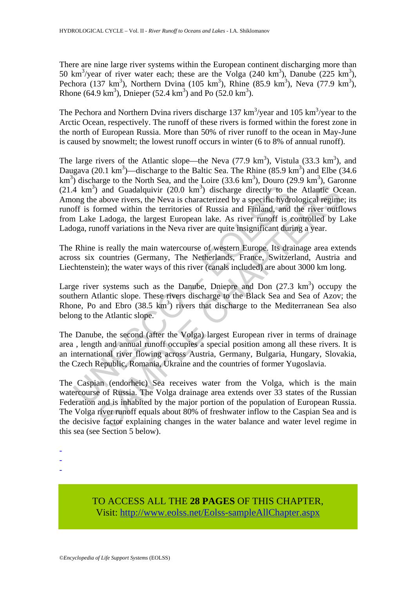There are nine large river systems within the European continent discharging more than 50 km<sup>3</sup>/year of river water each; these are the Volga (240 km<sup>3</sup>), Danube (225 km<sup>3</sup>), Pechora (137 km<sup>3</sup>), Northern Dvina (105 km<sup>3</sup>), Rhine (85.9 km<sup>3</sup>), Neva (77.9 km<sup>3</sup>), Rhone (64.9 km<sup>3</sup>), Dnieper (52.4 km<sup>3</sup>) and Po (52.0 km<sup>3</sup>).

The Pechora and Northern Dvina rivers discharge 137  $\text{km}^3/\text{year}$  and 105  $\text{km}^3/\text{year}$  to the Arctic Ocean, respectively. The runoff of these rivers is formed within the forest zone in the north of European Russia. More than 50% of river runoff to the ocean in May-June is caused by snowmelt; the lowest runoff occurs in winter (6 to 8% of annual runoff).

 $^{4}$  km<sup>3</sup>) and Guadalquivir (20.0 km<sup>3</sup>) discharge directly to thong the above rivers, the Neva is characterized by a specific hydroff is formed within the territories of Russia and Finland, and Lake Ladoga, the largest The large rivers of the Atlantic slope—the Neva  $(77.9 \text{ km}^3)$ , Vistula  $(33.3 \text{ km}^3)$ , and Daugava (20.1 km<sup>3</sup>)—discharge to the Baltic Sea. The Rhine (85.9 km<sup>3</sup>) and Elbe (34.6  $\text{km}^3$ ) discharge to the North Sea, and the Loire (33.6 km<sup>3</sup>), Douro (29.9 km<sup>3</sup>), Garonne  $(21.4 \text{ km}^3)$  and Guadalquivir  $(20.0 \text{ km}^3)$  discharge directly to the Atlantic Ocean. Among the above rivers, the Neva is characterized by a specific hydrological regime; its runoff is formed within the territories of Russia and Finland, and the river outflows from Lake Ladoga, the largest European lake. As river runoff is controlled by Lake Ladoga, runoff variations in the Neva river are quite insignificant during a year.

The Rhine is really the main watercourse of western Europe. Its drainage area extends across six countries (Germany, The Netherlands, France, Switzerland, Austria and Liechtenstein); the water ways of this river (canals included) are about 3000 km long.

Large river systems such as the Danube, Dniepre and Don  $(27.3 \text{ km}^3)$  occupy the southern Atlantic slope. These rivers discharge to the Black Sea and Sea of Azov; the Rhone, Po and Ebro  $(38.5 \text{ km}^3)$  rivers that discharge to the Mediterranean Sea also belong to the Atlantic slope.

The Danube, the second (after the Volga) largest European river in terms of drainage area , length and annual runoff occupies a special position among all these rivers. It is an international river flowing across Austria, Germany, Bulgaria, Hungary, Slovakia, the Czech Republic, Romania, Ukraine and the countries of former Yugoslavia.

and Guadalquivir (20.0 km<sup>3</sup>) discharge directly to the Atlantic Oc<br>above rivers, the Neva is characterized by a specific hydrological regime<br>ormed within the territories of Russia and Finland, and the river outfl<br>Ladoga, The Caspian (endorheic) Sea receives water from the Volga, which is the main watercourse of Russia. The Volga drainage area extends over 33 states of the Russian Federation and is inhabited by the major portion of the population of European Russia. The Volga river runoff equals about 80% of freshwater inflow to the Caspian Sea and is the decisive factor explaining changes in the water balance and water level regime in this sea (see Section 5 below).

-

-

TO ACCESS ALL THE **28 PAGES** OF THIS CHAPTER, Visit: [http://www.eolss.net/Eolss-sampleAllChapter.aspx](https://www.eolss.net/ebooklib/sc_cart.aspx?File=E2-02-03-03)

<sup>-</sup>